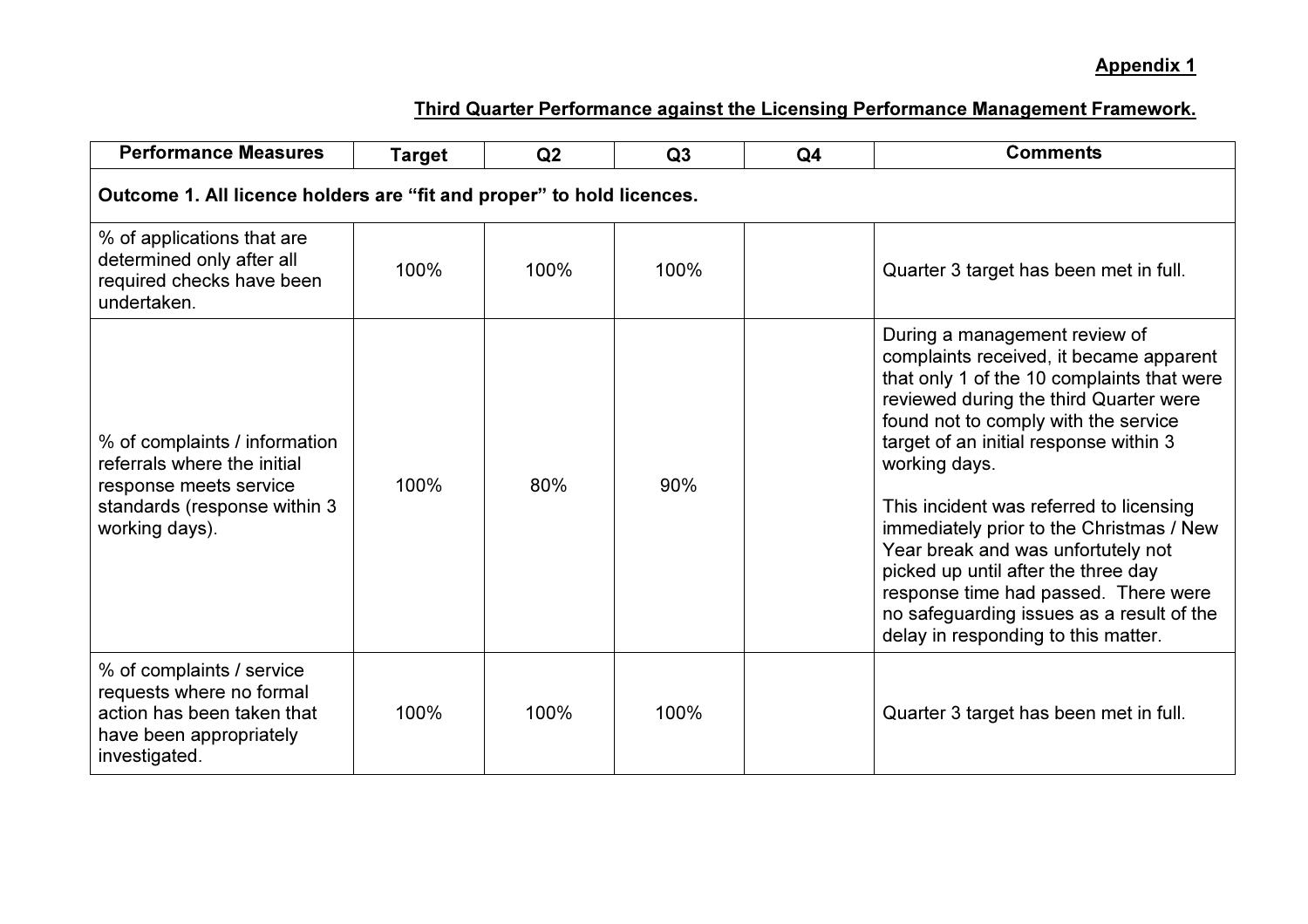| <b>Performance Measures</b>                                                                                                              | <b>Target</b> | Q2   | Q3   | Q <sub>4</sub> | <b>Comments</b>                                                                                                                                                                                                                                                                                                                                                                                                                                                                                                                                                     |  |  |  |
|------------------------------------------------------------------------------------------------------------------------------------------|---------------|------|------|----------------|---------------------------------------------------------------------------------------------------------------------------------------------------------------------------------------------------------------------------------------------------------------------------------------------------------------------------------------------------------------------------------------------------------------------------------------------------------------------------------------------------------------------------------------------------------------------|--|--|--|
| Outcome 1. All licence holders are "fit and proper" to hold licences.                                                                    |               |      |      |                |                                                                                                                                                                                                                                                                                                                                                                                                                                                                                                                                                                     |  |  |  |
| % of applications that are<br>determined only after all<br>required checks have been<br>undertaken.                                      | 100%          | 100% | 100% |                | Quarter 3 target has been met in full.                                                                                                                                                                                                                                                                                                                                                                                                                                                                                                                              |  |  |  |
| % of complaints / information<br>referrals where the initial<br>response meets service<br>standards (response within 3<br>working days). | 100%          | 80%  | 90%  |                | During a management review of<br>complaints received, it became apparent<br>that only 1 of the 10 complaints that were<br>reviewed during the third Quarter were<br>found not to comply with the service<br>target of an initial response within 3<br>working days.<br>This incident was referred to licensing<br>immediately prior to the Christmas / New<br>Year break and was unfortutely not<br>picked up until after the three day<br>response time had passed. There were<br>no safeguarding issues as a result of the<br>delay in responding to this matter. |  |  |  |
| % of complaints / service<br>requests where no formal<br>action has been taken that<br>have been appropriately<br>investigated.          | 100%          | 100% | 100% |                | Quarter 3 target has been met in full.                                                                                                                                                                                                                                                                                                                                                                                                                                                                                                                              |  |  |  |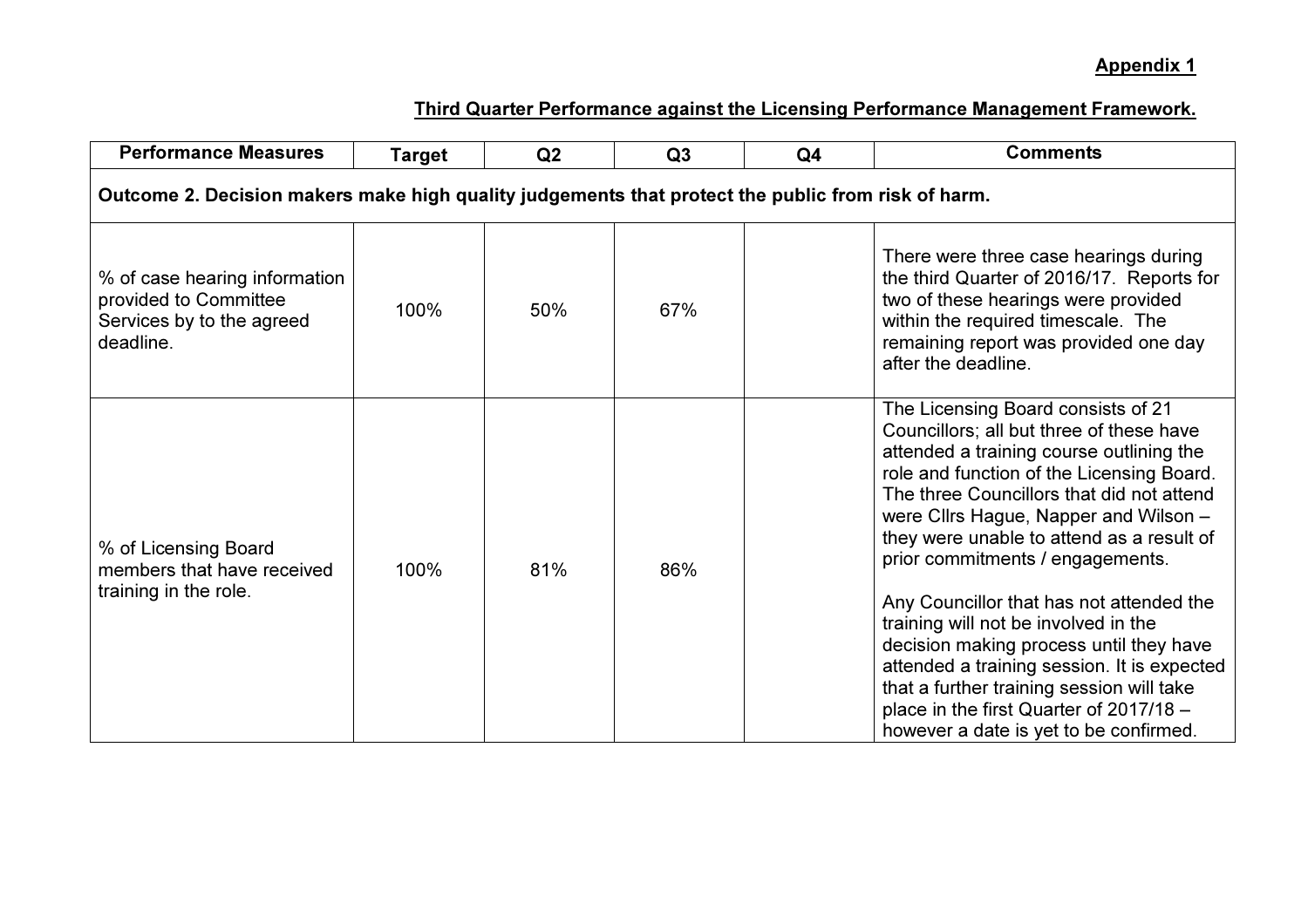| <b>Performance Measures</b>                                                                        | <b>Target</b> | Q <sub>2</sub> | Q3  | Q <sub>4</sub> | <b>Comments</b>                                                                                                                                                                                                                                                                                                                                                                                                                                                                                                              |  |  |
|----------------------------------------------------------------------------------------------------|---------------|----------------|-----|----------------|------------------------------------------------------------------------------------------------------------------------------------------------------------------------------------------------------------------------------------------------------------------------------------------------------------------------------------------------------------------------------------------------------------------------------------------------------------------------------------------------------------------------------|--|--|
| Outcome 2. Decision makers make high quality judgements that protect the public from risk of harm. |               |                |     |                |                                                                                                                                                                                                                                                                                                                                                                                                                                                                                                                              |  |  |
| % of case hearing information<br>provided to Committee<br>Services by to the agreed<br>deadline.   | 100%          | 50%            | 67% |                | There were three case hearings during<br>the third Quarter of 2016/17. Reports for<br>two of these hearings were provided<br>within the required timescale. The<br>remaining report was provided one day<br>after the deadline.                                                                                                                                                                                                                                                                                              |  |  |
| % of Licensing Board<br>members that have received<br>training in the role.                        | 100%          | 81%            | 86% |                | The Licensing Board consists of 21<br>Councillors; all but three of these have<br>attended a training course outlining the<br>role and function of the Licensing Board.<br>The three Councillors that did not attend<br>were Cllrs Hague, Napper and Wilson -<br>they were unable to attend as a result of<br>prior commitments / engagements.<br>Any Councillor that has not attended the<br>training will not be involved in the<br>decision making process until they have<br>attended a training session. It is expected |  |  |
|                                                                                                    |               |                |     |                | that a further training session will take<br>place in the first Quarter of 2017/18 -<br>however a date is yet to be confirmed.                                                                                                                                                                                                                                                                                                                                                                                               |  |  |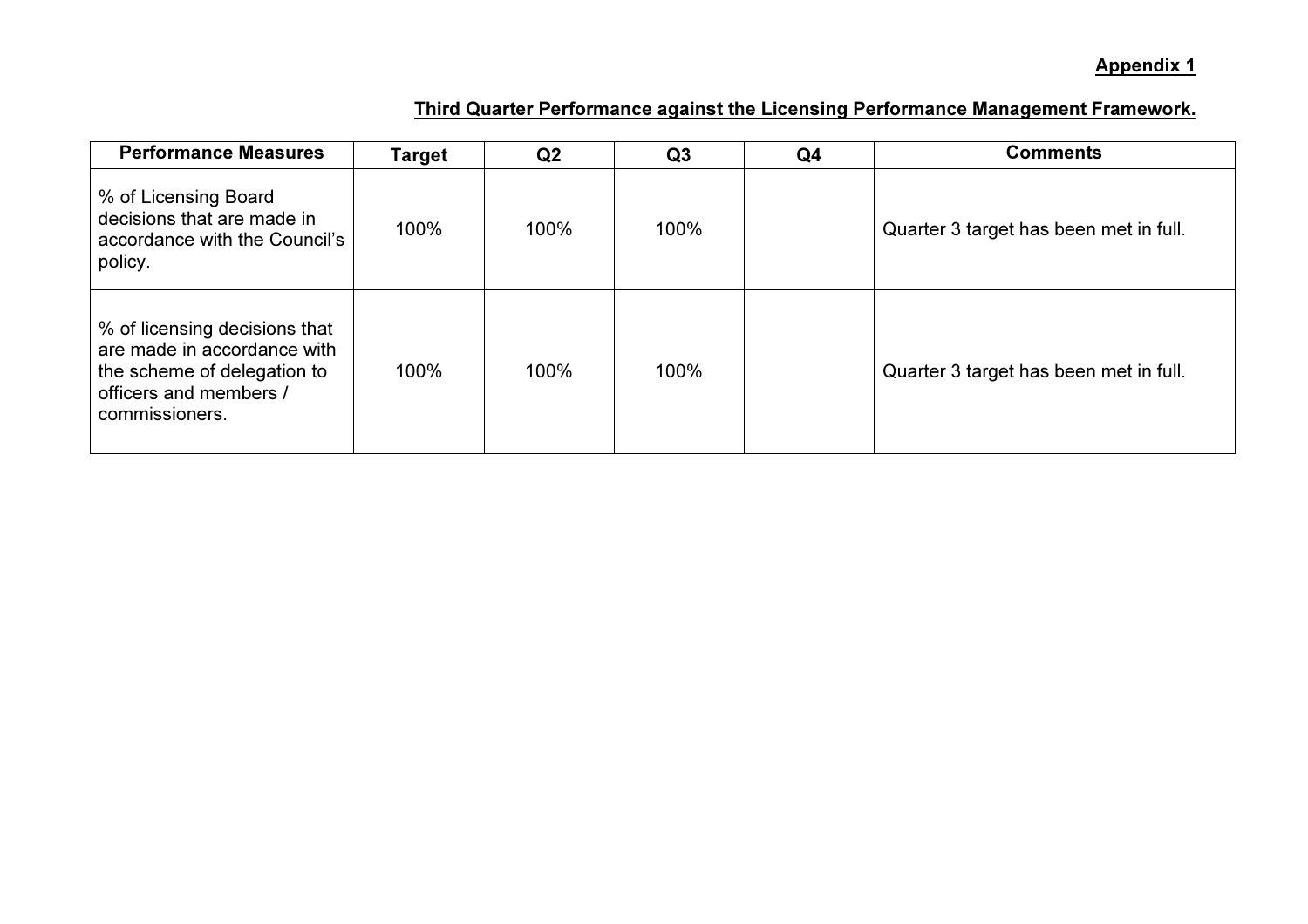| <b>Performance Measures</b>                                                                                                             | Target | Q2   | Q3   | Q <sub>4</sub> | <b>Comments</b>                        |
|-----------------------------------------------------------------------------------------------------------------------------------------|--------|------|------|----------------|----------------------------------------|
| % of Licensing Board<br>decisions that are made in<br>accordance with the Council's<br>policy.                                          | 100%   | 100% | 100% |                | Quarter 3 target has been met in full. |
| % of licensing decisions that<br>are made in accordance with<br>the scheme of delegation to<br>officers and members /<br>commissioners. | 100%   | 100% | 100% |                | Quarter 3 target has been met in full. |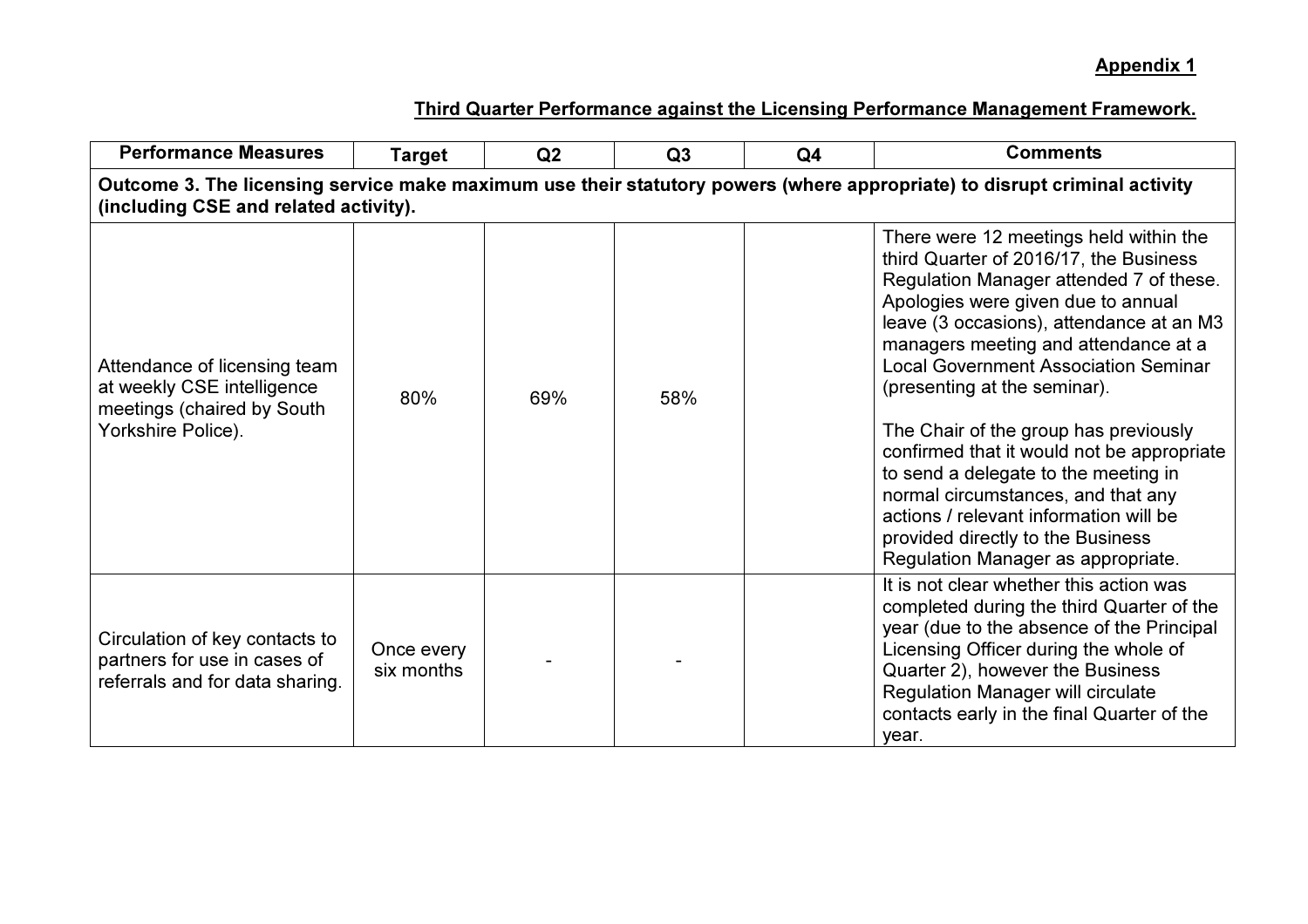| <b>Performance Measures</b>                                                                                                                                        | <b>Target</b>            | Q2  | Q3  | Q <sub>4</sub> | <b>Comments</b>                                                                                                                                                                                                                                                                                                                                                                                                                                                                                                                                                                                                                |  |  |  |
|--------------------------------------------------------------------------------------------------------------------------------------------------------------------|--------------------------|-----|-----|----------------|--------------------------------------------------------------------------------------------------------------------------------------------------------------------------------------------------------------------------------------------------------------------------------------------------------------------------------------------------------------------------------------------------------------------------------------------------------------------------------------------------------------------------------------------------------------------------------------------------------------------------------|--|--|--|
| Outcome 3. The licensing service make maximum use their statutory powers (where appropriate) to disrupt criminal activity<br>(including CSE and related activity). |                          |     |     |                |                                                                                                                                                                                                                                                                                                                                                                                                                                                                                                                                                                                                                                |  |  |  |
| Attendance of licensing team<br>at weekly CSE intelligence<br>meetings (chaired by South<br>Yorkshire Police).                                                     | 80%                      | 69% | 58% |                | There were 12 meetings held within the<br>third Quarter of 2016/17, the Business<br>Regulation Manager attended 7 of these.<br>Apologies were given due to annual<br>leave (3 occasions), attendance at an M3<br>managers meeting and attendance at a<br><b>Local Government Association Seminar</b><br>(presenting at the seminar).<br>The Chair of the group has previously<br>confirmed that it would not be appropriate<br>to send a delegate to the meeting in<br>normal circumstances, and that any<br>actions / relevant information will be<br>provided directly to the Business<br>Regulation Manager as appropriate. |  |  |  |
| Circulation of key contacts to<br>partners for use in cases of<br>referrals and for data sharing.                                                                  | Once every<br>six months |     |     |                | It is not clear whether this action was<br>completed during the third Quarter of the<br>year (due to the absence of the Principal<br>Licensing Officer during the whole of<br>Quarter 2), however the Business<br><b>Regulation Manager will circulate</b><br>contacts early in the final Quarter of the<br>year.                                                                                                                                                                                                                                                                                                              |  |  |  |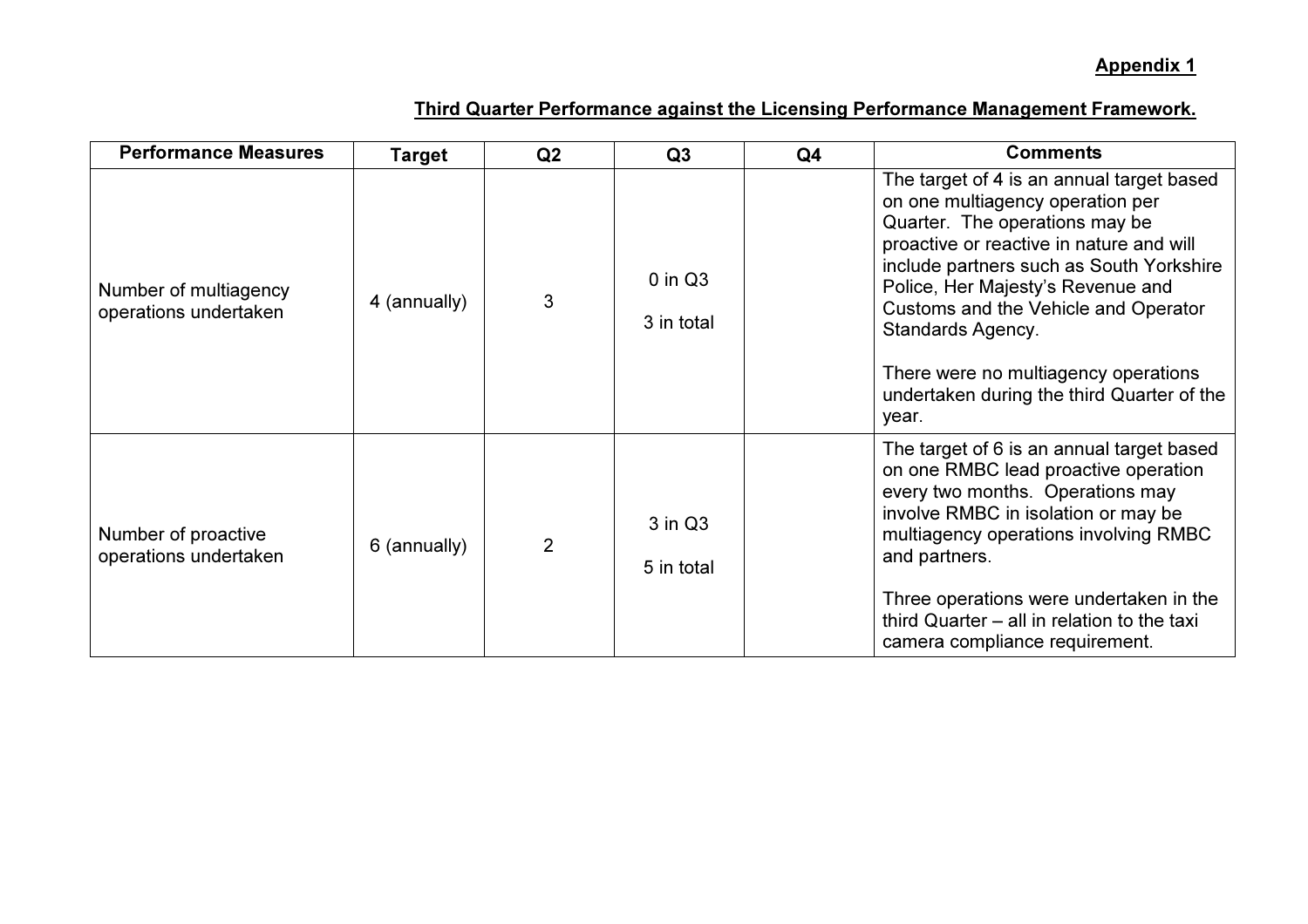| <b>Performance Measures</b>                    | Target       | Q2             | Q3                        | Q <sub>4</sub> | <b>Comments</b>                                                                                                                                                                                                                                                                                                                                                                                                 |
|------------------------------------------------|--------------|----------------|---------------------------|----------------|-----------------------------------------------------------------------------------------------------------------------------------------------------------------------------------------------------------------------------------------------------------------------------------------------------------------------------------------------------------------------------------------------------------------|
| Number of multiagency<br>operations undertaken | 4 (annually) | 3              | $0$ in $Q3$<br>3 in total |                | The target of 4 is an annual target based<br>on one multiagency operation per<br>Quarter. The operations may be<br>proactive or reactive in nature and will<br>include partners such as South Yorkshire<br>Police, Her Majesty's Revenue and<br>Customs and the Vehicle and Operator<br><b>Standards Agency.</b><br>There were no multiagency operations<br>undertaken during the third Quarter of the<br>year. |
| Number of proactive<br>operations undertaken   | 6 (annually) | $\overline{2}$ | 3 in Q3<br>5 in total     |                | The target of 6 is an annual target based<br>on one RMBC lead proactive operation<br>every two months. Operations may<br>involve RMBC in isolation or may be<br>multiagency operations involving RMBC<br>and partners.<br>Three operations were undertaken in the<br>third Quarter – all in relation to the taxi<br>camera compliance requirement.                                                              |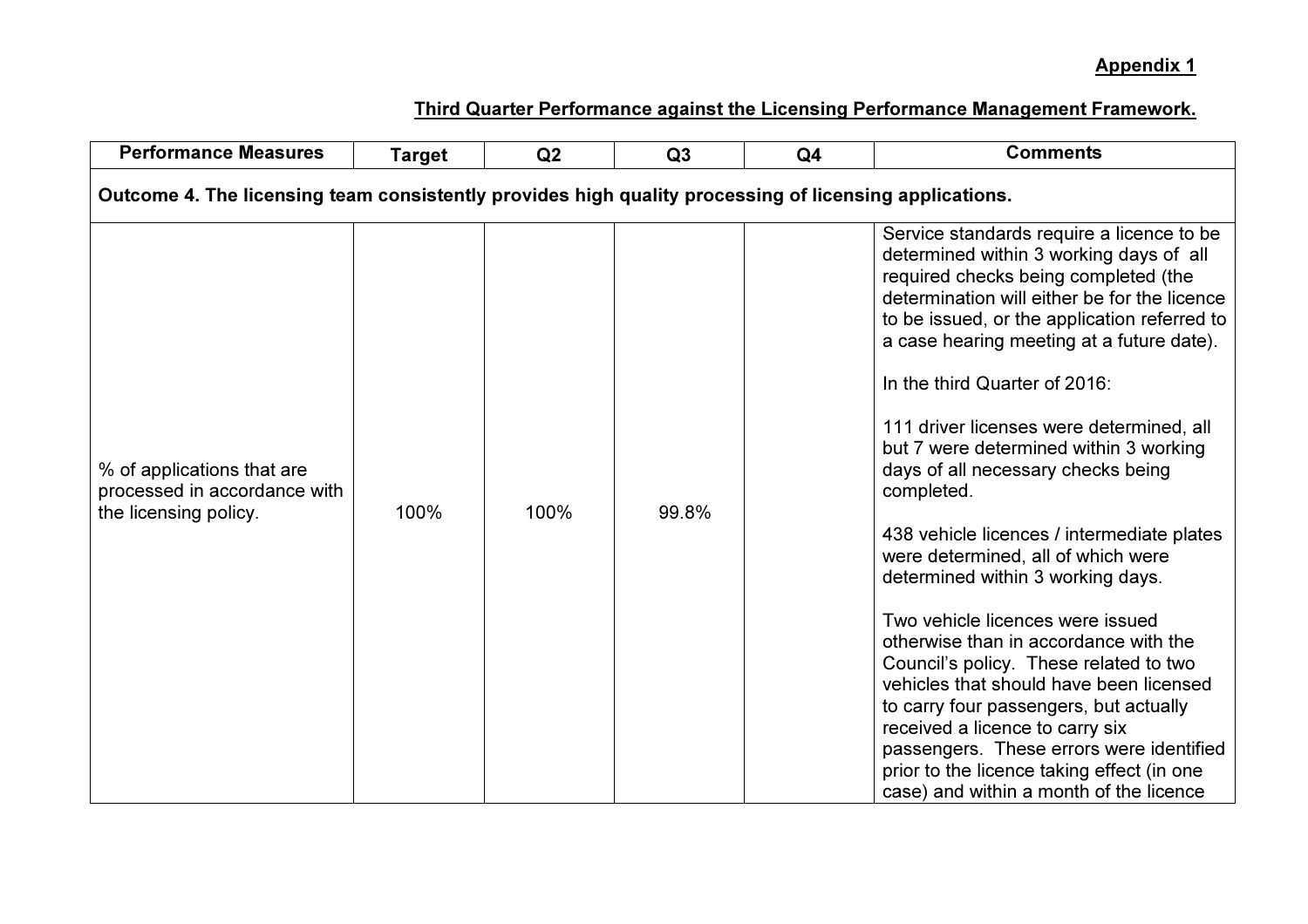| <b>Performance Measures</b>                                                                            | <b>Target</b> | Q2   | Q3    | Q <sub>4</sub> | <b>Comments</b>                                                                                                                                                                                                                                                                                                                                                                                                                                                                                                                                                                                                                                                                                                                                                                                                                                                                                                                                                   |  |  |  |
|--------------------------------------------------------------------------------------------------------|---------------|------|-------|----------------|-------------------------------------------------------------------------------------------------------------------------------------------------------------------------------------------------------------------------------------------------------------------------------------------------------------------------------------------------------------------------------------------------------------------------------------------------------------------------------------------------------------------------------------------------------------------------------------------------------------------------------------------------------------------------------------------------------------------------------------------------------------------------------------------------------------------------------------------------------------------------------------------------------------------------------------------------------------------|--|--|--|
| Outcome 4. The licensing team consistently provides high quality processing of licensing applications. |               |      |       |                |                                                                                                                                                                                                                                                                                                                                                                                                                                                                                                                                                                                                                                                                                                                                                                                                                                                                                                                                                                   |  |  |  |
| % of applications that are<br>processed in accordance with<br>the licensing policy.                    | 100%          | 100% | 99.8% |                | Service standards require a licence to be<br>determined within 3 working days of all<br>required checks being completed (the<br>determination will either be for the licence<br>to be issued, or the application referred to<br>a case hearing meeting at a future date).<br>In the third Quarter of 2016:<br>111 driver licenses were determined, all<br>but 7 were determined within 3 working<br>days of all necessary checks being<br>completed.<br>438 vehicle licences / intermediate plates<br>were determined, all of which were<br>determined within 3 working days.<br>Two vehicle licences were issued<br>otherwise than in accordance with the<br>Council's policy. These related to two<br>vehicles that should have been licensed<br>to carry four passengers, but actually<br>received a licence to carry six<br>passengers. These errors were identified<br>prior to the licence taking effect (in one<br>case) and within a month of the licence |  |  |  |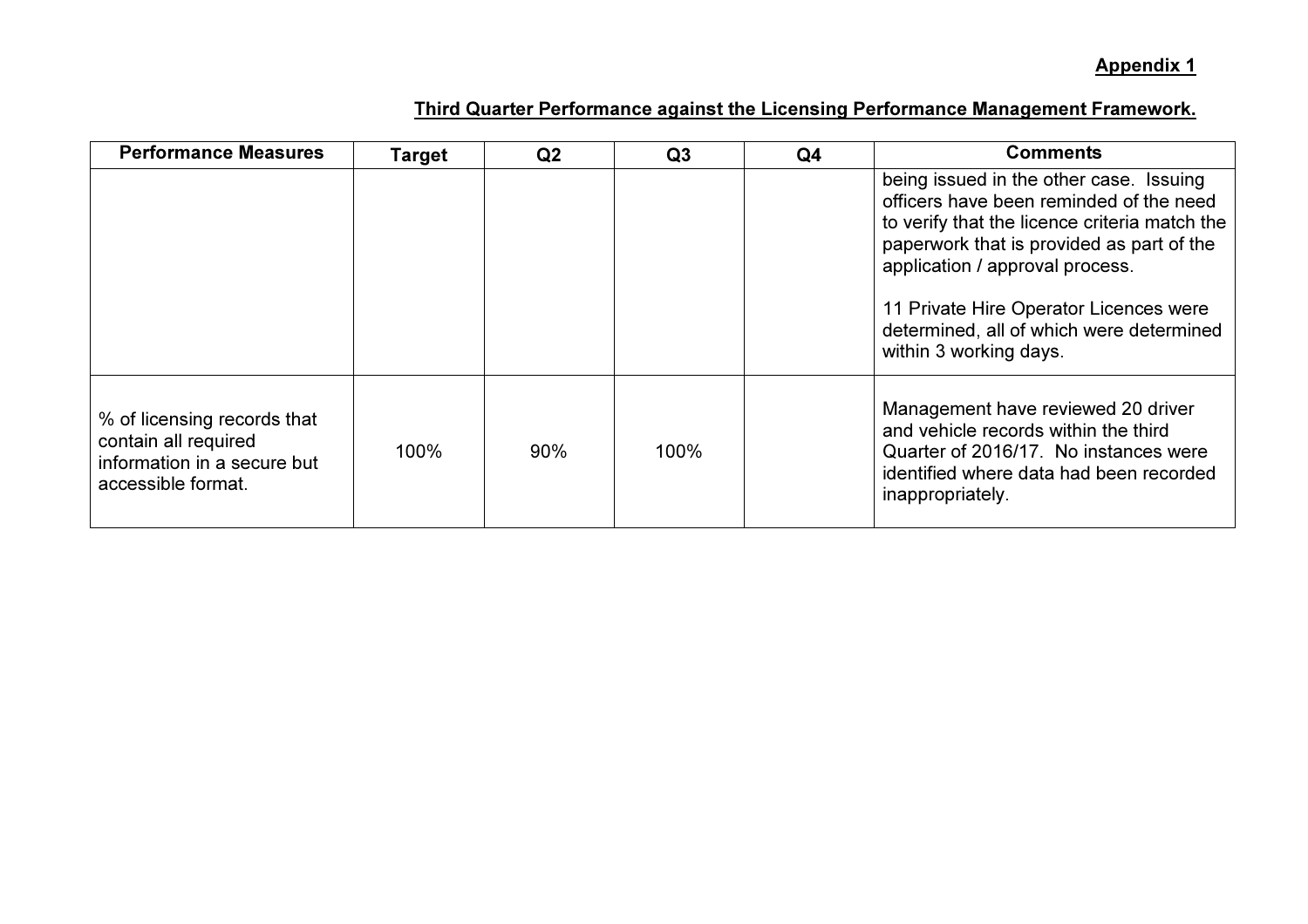| <b>Performance Measures</b>                                                                              | Target | Q <sub>2</sub> | Q <sub>3</sub> | Q <sub>4</sub> | <b>Comments</b>                                                                                                                                                                                                                                                                                                                     |
|----------------------------------------------------------------------------------------------------------|--------|----------------|----------------|----------------|-------------------------------------------------------------------------------------------------------------------------------------------------------------------------------------------------------------------------------------------------------------------------------------------------------------------------------------|
|                                                                                                          |        |                |                |                | being issued in the other case. Issuing<br>officers have been reminded of the need<br>to verify that the licence criteria match the<br>paperwork that is provided as part of the<br>application / approval process.<br>11 Private Hire Operator Licences were<br>determined, all of which were determined<br>within 3 working days. |
| % of licensing records that<br>contain all required<br>information in a secure but<br>accessible format. | 100%   | 90%            | 100%           |                | Management have reviewed 20 driver<br>and vehicle records within the third<br>Quarter of 2016/17. No instances were<br>identified where data had been recorded<br>inappropriately.                                                                                                                                                  |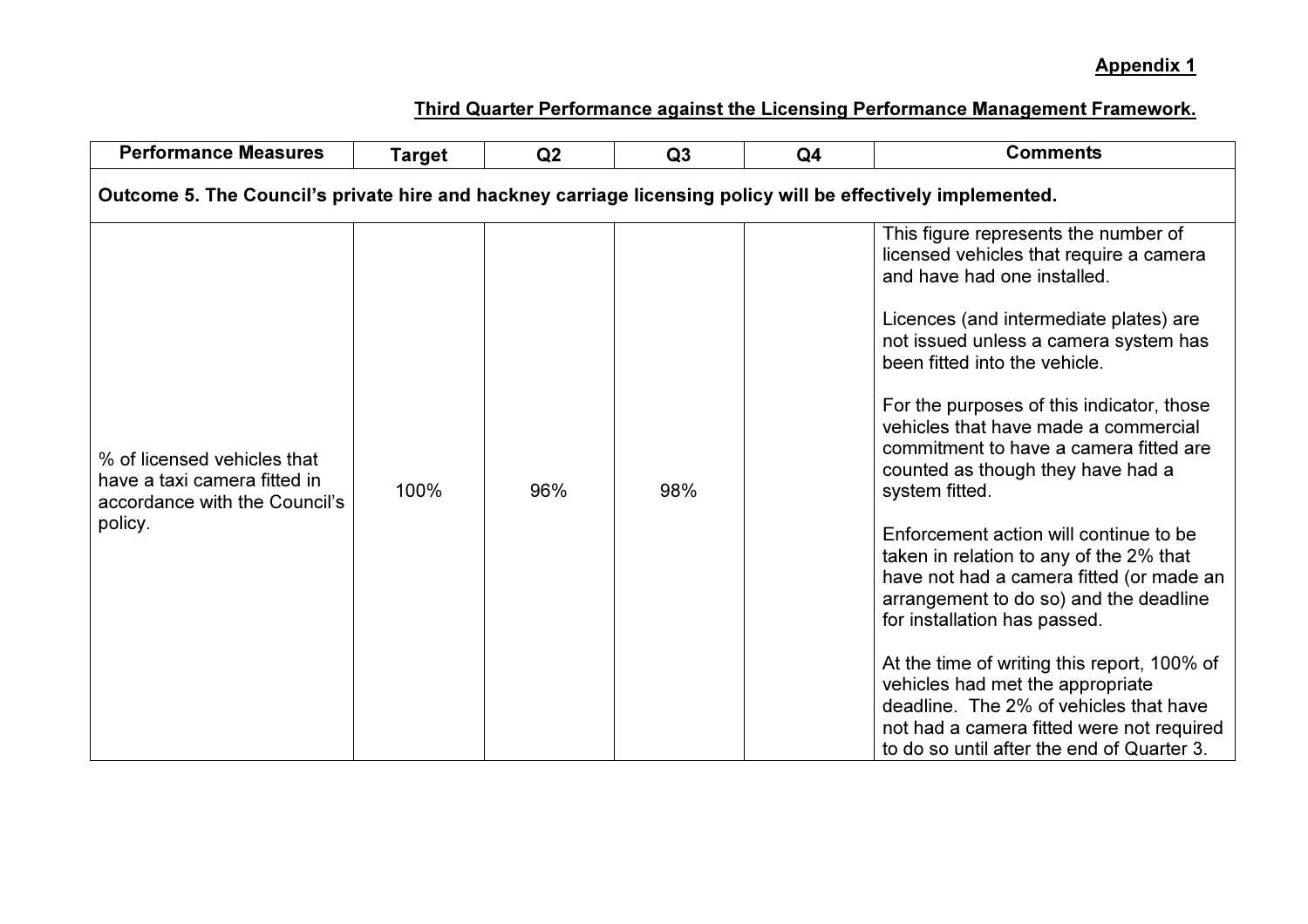| <b>Performance Measures</b>                                                                                  | <b>Target</b> | Q2  | Q3  | Q <sub>4</sub> | <b>Comments</b>                                                                                                                                                                                                                                                                                                                                                                                                                                                                                                                                                                                                                                                                                                                                                                                                                                             |  |  |
|--------------------------------------------------------------------------------------------------------------|---------------|-----|-----|----------------|-------------------------------------------------------------------------------------------------------------------------------------------------------------------------------------------------------------------------------------------------------------------------------------------------------------------------------------------------------------------------------------------------------------------------------------------------------------------------------------------------------------------------------------------------------------------------------------------------------------------------------------------------------------------------------------------------------------------------------------------------------------------------------------------------------------------------------------------------------------|--|--|
| Outcome 5. The Council's private hire and hackney carriage licensing policy will be effectively implemented. |               |     |     |                |                                                                                                                                                                                                                                                                                                                                                                                                                                                                                                                                                                                                                                                                                                                                                                                                                                                             |  |  |
| % of licensed vehicles that<br>have a taxi camera fitted in<br>accordance with the Council's<br>policy.      | 100%          | 96% | 98% |                | This figure represents the number of<br>licensed vehicles that require a camera<br>and have had one installed.<br>Licences (and intermediate plates) are<br>not issued unless a camera system has<br>been fitted into the vehicle.<br>For the purposes of this indicator, those<br>vehicles that have made a commercial<br>commitment to have a camera fitted are<br>counted as though they have had a<br>system fitted.<br>Enforcement action will continue to be<br>taken in relation to any of the 2% that<br>have not had a camera fitted (or made an<br>arrangement to do so) and the deadline<br>for installation has passed.<br>At the time of writing this report, 100% of<br>vehicles had met the appropriate<br>deadline. The 2% of vehicles that have<br>not had a camera fitted were not required<br>to do so until after the end of Quarter 3. |  |  |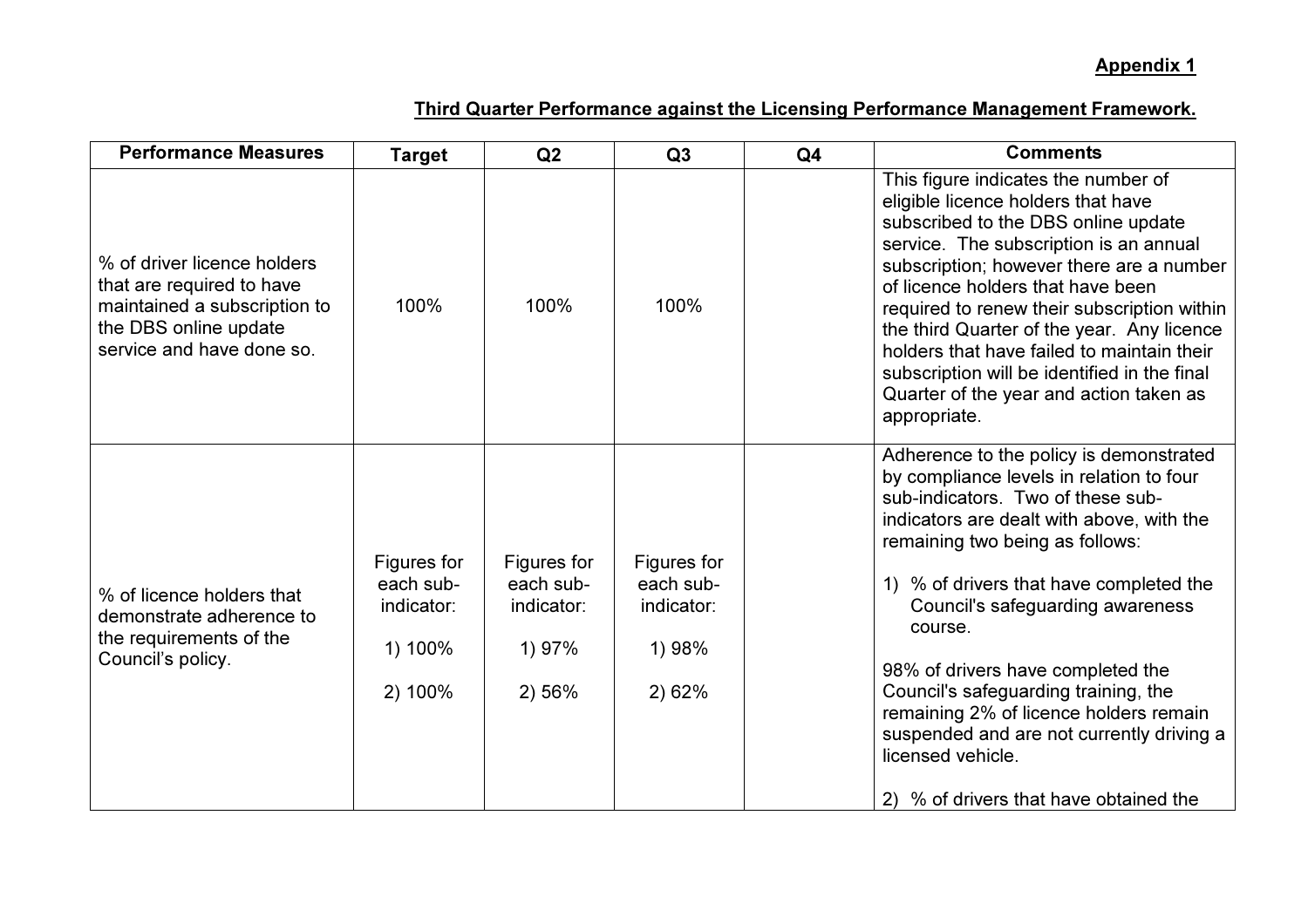| <b>Performance Measures</b>                                                                                                                    | <b>Target</b>                                                | Q2                                                         | Q3                                                         | Q <sub>4</sub> | <b>Comments</b>                                                                                                                                                                                                                                                                                                                                                                                                                                                                                                                       |
|------------------------------------------------------------------------------------------------------------------------------------------------|--------------------------------------------------------------|------------------------------------------------------------|------------------------------------------------------------|----------------|---------------------------------------------------------------------------------------------------------------------------------------------------------------------------------------------------------------------------------------------------------------------------------------------------------------------------------------------------------------------------------------------------------------------------------------------------------------------------------------------------------------------------------------|
| % of driver licence holders<br>that are required to have<br>maintained a subscription to<br>the DBS online update<br>service and have done so. | 100%                                                         | 100%                                                       | 100%                                                       |                | This figure indicates the number of<br>eligible licence holders that have<br>subscribed to the DBS online update<br>service. The subscription is an annual<br>subscription; however there are a number<br>of licence holders that have been<br>required to renew their subscription within<br>the third Quarter of the year. Any licence<br>holders that have failed to maintain their<br>subscription will be identified in the final<br>Quarter of the year and action taken as<br>appropriate.                                     |
| % of licence holders that<br>demonstrate adherence to<br>the requirements of the<br>Council's policy.                                          | Figures for<br>each sub-<br>indicator:<br>1) 100%<br>2) 100% | Figures for<br>each sub-<br>indicator:<br>1) 97%<br>2) 56% | Figures for<br>each sub-<br>indicator:<br>1) 98%<br>2) 62% |                | Adherence to the policy is demonstrated<br>by compliance levels in relation to four<br>sub-indicators. Two of these sub-<br>indicators are dealt with above, with the<br>remaining two being as follows:<br>1) % of drivers that have completed the<br>Council's safeguarding awareness<br>course.<br>98% of drivers have completed the<br>Council's safeguarding training, the<br>remaining 2% of licence holders remain<br>suspended and are not currently driving a<br>licensed vehicle.<br>2) % of drivers that have obtained the |